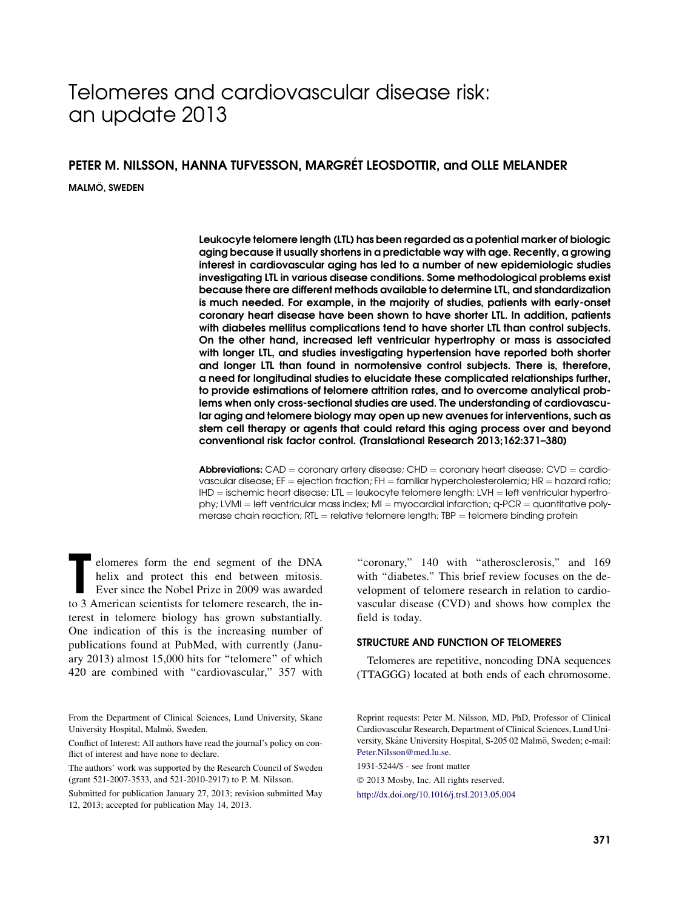# Telomeres and cardiovascular disease risk: an update 2013

# PETER M. NILSSON, HANNA TUFVESSON, MARGRÉT LEOSDOTTIR, and OLLE MELANDER MALMÖ, SWEDEN

Leukocyte telomere length (LTL) has been regarded as a potential marker of biologic aging because it usually shortens in a predictable way with age. Recently, a growing interest in cardiovascular aging has led to a number of new epidemiologic studies investigating LTL in various disease conditions. Some methodological problems exist because there are different methods available to determine LTL, and standardization is much needed. For example, in the majority of studies, patients with early-onset coronary heart disease have been shown to have shorter LTL. In addition, patients with diabetes mellitus complications tend to have shorter LTL than control subjects. On the other hand, increased left ventricular hypertrophy or mass is associated with longer LTL, and studies investigating hypertension have reported both shorter and longer LTL than found in normotensive control subjects. There is, therefore, a need for longitudinal studies to elucidate these complicated relationships further, to provide estimations of telomere attrition rates, and to overcome analytical problems when only cross-sectional studies are used. The understanding of cardiovascular aging and telomere biology may open up new avenues for interventions, such as stem cell therapy or agents that could retard this aging process over and beyond conventional risk factor control. (Translational Research 2013;162:371–380)

**Abbreviations:** CAD = coronary artery disease; CHD = coronary heart disease; CVD = cardiovascular disease; EF = ejection fraction; FH = familiar hypercholesterolemia; HR = hazard ratio;  $IHD =$  ischemic heart disease; LTL  $=$  leukocyte telomere length; LVH  $=$  left ventricular hypertro $phy$ ; LVMI  $=$  left ventricular mass index; MI  $=$  myocardial infarction;  $q$ -PCR  $=$  quantitative polymerase chain reaction;  $RTL =$  relative telomere length;  $TBP =$  telomere binding protein

elomeres form the end segment of the DNA<br>helix and protect this end between mitosis.<br>Ever since the Nobel Prize in 2009 was awarded<br>to 3 American scientists for telomere research, the inelomeres form the end segment of the DNA helix and protect this end between mitosis. Ever since the Nobel Prize in 2009 was awarded terest in telomere biology has grown substantially. One indication of this is the increasing number of publications found at PubMed, with currently (January 2013) almost 15,000 hits for ''telomere'' of which 420 are combined with ''cardiovascular,'' 357 with

From the Department of Clinical Sciences, Lund University, Skane University Hospital, Malmö, Sweden.

Conflict of Interest: All authors have read the journal's policy on conflict of interest and have none to declare.

The authors' work was supported by the Research Council of Sweden (grant 521-2007-3533, and 521-2010-2917) to P. M. Nilsson.

Submitted for publication January 27, 2013; revision submitted May 12, 2013; accepted for publication May 14, 2013.

"coronary," 140 with "atherosclerosis," and 169 with "diabetes." This brief review focuses on the development of telomere research in relation to cardiovascular disease (CVD) and shows how complex the field is today.

# STRUCTURE AND FUNCTION OF TELOMERES

Telomeres are repetitive, noncoding DNA sequences (TTAGGG) located at both ends of each chromosome.

Reprint requests: Peter M. Nilsson, MD, PhD, Professor of Clinical Cardiovascular Research, Department of Clinical Sciences, Lund University, Skåne University Hospital, S-205 02 Malmö, Sweden; e-mail: [Peter.Nilsson@med.lu.se.](mailto:Peter.Nilsson@med.lu.se)

1931-5244/\$ - see front matter

2013 Mosby, Inc. All rights reserved.

<http://dx.doi.org/10.1016/j.trsl.2013.05.004>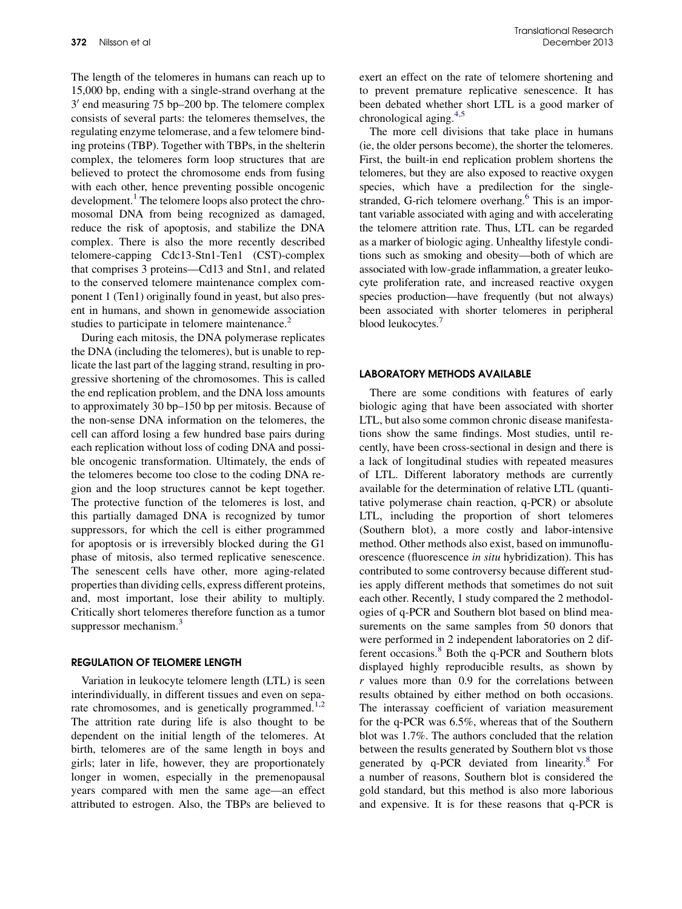The length of the telomeres in humans can reach up to 15,000 bp, ending with a single-strand overhang at the  $3'$  end measuring 75 bp–200 bp. The telomere complex consists of several parts: the telomeres themselves, the regulating enzyme telomerase, and a few telomere binding proteins (TBP). Together with TBPs, in the shelterin complex, the telomeres form loop structures that are believed to protect the chromosome ends from fusing with each other, hence preventing possible oncogenic development.<sup>[1](#page-8-0)</sup> The telomere loops also protect the chromosomal DNA from being recognized as damaged, reduce the risk of apoptosis, and stabilize the DNA complex. There is also the more recently described telomere-capping Cdc13-Stn1-Ten1 (CST)-complex that comprises 3 proteins—Cd13 and Stn1, and related to the conserved telomere maintenance complex component 1 (Ten1) originally found in yeast, but also present in humans, and shown in genomewide association studies to participate in telomere maintenance. $<sup>2</sup>$ </sup>

During each mitosis, the DNA polymerase replicates the DNA (including the telomeres), but is unable to replicate the last part of the lagging strand, resulting in progressive shortening of the chromosomes. This is called the end replication problem, and the DNA loss amounts to approximately 30 bp–150 bp per mitosis. Because of the non-sense DNA information on the telomeres, the cell can afford losing a few hundred base pairs during each replication without loss of coding DNA and possible oncogenic transformation. Ultimately, the ends of the telomeres become too close to the coding DNA region and the loop structures cannot be kept together. The protective function of the telomeres is lost, and this partially damaged DNA is recognized by tumor suppressors, for which the cell is either programmed for apoptosis or is irreversibly blocked during the G1 phase of mitosis, also termed replicative senescence. The senescent cells have other, more aging-related properties than dividing cells, express different proteins, and, most important, lose their ability to multiply. Critically short telomeres therefore function as a tumor suppressor mechanism.<sup>[3](#page-8-0)</sup>

#### REGULATION OF TELOMERE LENGTH

Variation in leukocyte telomere length (LTL) is seen interindividually, in different tissues and even on separate chromosomes, and is genetically programmed. $1,2$ The attrition rate during life is also thought to be dependent on the initial length of the telomeres. At birth, telomeres are of the same length in boys and girls; later in life, however, they are proportionately longer in women, especially in the premenopausal years compared with men the same age—an effect attributed to estrogen. Also, the TBPs are believed to

exert an effect on the rate of telomere shortening and to prevent premature replicative senescence. It has been debated whether short LTL is a good marker of chronological aging. $4,5$ 

The more cell divisions that take place in humans (ie, the older persons become), the shorter the telomeres. First, the built-in end replication problem shortens the telomeres, but they are also exposed to reactive oxygen species, which have a predilection for the singlestranded, G-rich telomere overhang.<sup>6</sup> This is an important variable associated with aging and with accelerating the telomere attrition rate. Thus, LTL can be regarded as a marker of biologic aging. Unhealthy lifestyle conditions such as smoking and obesity—both of which are associated with low-grade inflammation, a greater leukocyte proliferation rate, and increased reactive oxygen species production—have frequently (but not always) been associated with shorter telomeres in peripheral blood leukocytes.<sup>7</sup>

#### LABORATORY METHODS AVAILABLE

There are some conditions with features of early biologic aging that have been associated with shorter LTL, but also some common chronic disease manifestations show the same findings. Most studies, until recently, have been cross-sectional in design and there is a lack of longitudinal studies with repeated measures of LTL. Different laboratory methods are currently available for the determination of relative LTL (quantitative polymerase chain reaction, q-PCR) or absolute LTL, including the proportion of short telomeres (Southern blot), a more costly and labor-intensive method. Other methods also exist, based on immunofluorescence (fluorescence in situ hybridization). This has contributed to some controversy because different studies apply different methods that sometimes do not suit each other. Recently, 1 study compared the 2 methodologies of q-PCR and Southern blot based on blind measurements on the same samples from 50 donors that were performed in 2 independent laboratories on 2 dif-ferent occasions.<sup>[8](#page-8-0)</sup> Both the q-PCR and Southern blots displayed highly reproducible results, as shown by r values more than 0.9 for the correlations between results obtained by either method on both occasions. The interassay coefficient of variation measurement for the q-PCR was 6.5%, whereas that of the Southern blot was 1.7%. The authors concluded that the relation between the results generated by Southern blot vs those generated by q-PCR deviated from linearity.[8](#page-8-0) For a number of reasons, Southern blot is considered the gold standard, but this method is also more laborious and expensive. It is for these reasons that q-PCR is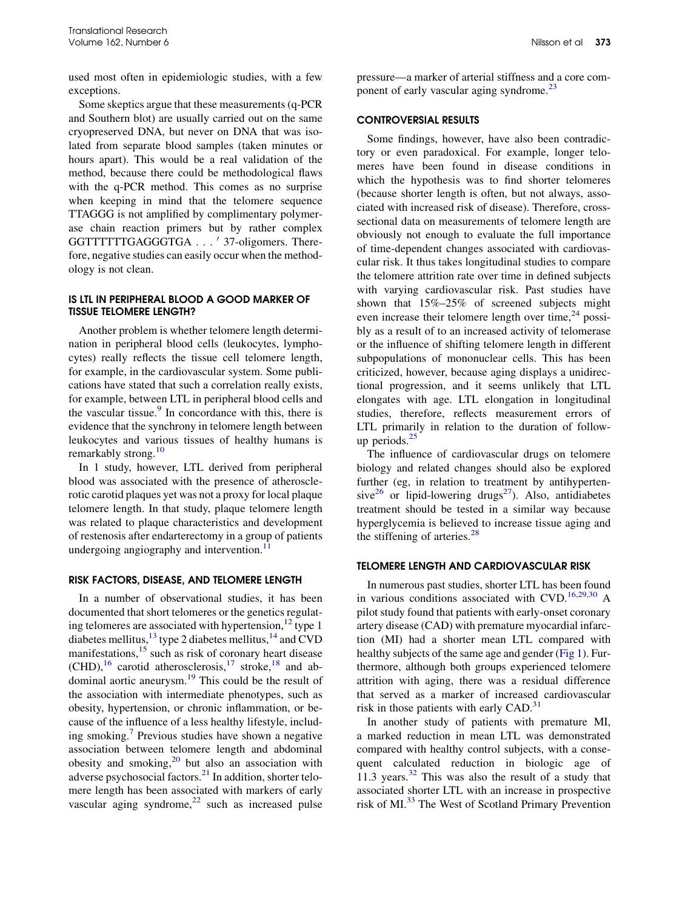used most often in epidemiologic studies, with a few exceptions.

Some skeptics argue that these measurements (q-PCR and Southern blot) are usually carried out on the same cryopreserved DNA, but never on DNA that was isolated from separate blood samples (taken minutes or hours apart). This would be a real validation of the method, because there could be methodological flaws with the q-PCR method. This comes as no surprise when keeping in mind that the telomere sequence TTAGGG is not amplified by complimentary polymerase chain reaction primers but by rather complex GGTTTTTTGAGGGTGA . . . ' 37-oligomers. Therefore, negative studies can easily occur when the methodology is not clean.

# IS LTL IN PERIPHERAL BLOOD A GOOD MARKER OF TISSUE TELOMERE LENGTH?

Another problem is whether telomere length determination in peripheral blood cells (leukocytes, lymphocytes) really reflects the tissue cell telomere length, for example, in the cardiovascular system. Some publications have stated that such a correlation really exists, for example, between LTL in peripheral blood cells and the vascular tissue. $9$  In concordance with this, there is evidence that the synchrony in telomere length between leukocytes and various tissues of healthy humans is remarkably strong.<sup>[10](#page-8-0)</sup>

In 1 study, however, LTL derived from peripheral blood was associated with the presence of atherosclerotic carotid plaques yet was not a proxy for local plaque telomere length. In that study, plaque telomere length was related to plaque characteristics and development of restenosis after endarterectomy in a group of patients undergoing angiography and intervention. $^{11}$  $^{11}$  $^{11}$ 

## RISK FACTORS, DISEASE, AND TELOMERE LENGTH

In a number of observational studies, it has been documented that short telomeres or the genetics regulating telomeres are associated with hypertension,  $12$  type 1 diabetes mellitus,<sup>13</sup> type 2 diabetes mellitus,<sup>[14](#page-8-0)</sup> and CVD manifestations,  $15$  such as risk of coronary heart disease  $(CHD)$ ,<sup>[16](#page-8-0)</sup> carotid atherosclerosis,<sup>[17](#page-8-0)</sup> stroke,<sup>[18](#page-8-0)</sup> and ab-dominal aortic aneurysm.<sup>[19](#page-8-0)</sup> This could be the result of the association with intermediate phenotypes, such as obesity, hypertension, or chronic inflammation, or because of the influence of a less healthy lifestyle, including smoking.[7](#page-8-0) Previous studies have shown a negative association between telomere length and abdominal obesity and smoking, $20$  but also an association with adverse psychosocial factors.<sup>[21](#page-8-0)</sup> In addition, shorter telomere length has been associated with markers of early vascular aging syndrome, $22$  such as increased pulse pressure—a marker of arterial stiffness and a core component of early vascular aging syndrome. $^{23}$  $^{23}$  $^{23}$ 

# CONTROVERSIAL RESULTS

Some findings, however, have also been contradictory or even paradoxical. For example, longer telomeres have been found in disease conditions in which the hypothesis was to find shorter telomeres (because shorter length is often, but not always, associated with increased risk of disease). Therefore, crosssectional data on measurements of telomere length are obviously not enough to evaluate the full importance of time-dependent changes associated with cardiovascular risk. It thus takes longitudinal studies to compare the telomere attrition rate over time in defined subjects with varying cardiovascular risk. Past studies have shown that 15%–25% of screened subjects might even increase their telomere length over time,  $^{24}$  $^{24}$  $^{24}$  possibly as a result of to an increased activity of telomerase or the influence of shifting telomere length in different subpopulations of mononuclear cells. This has been criticized, however, because aging displays a unidirectional progression, and it seems unlikely that LTL elongates with age. LTL elongation in longitudinal studies, therefore, reflects measurement errors of LTL primarily in relation to the duration of followup periods[.25](#page-9-0)

The influence of cardiovascular drugs on telomere biology and related changes should also be explored further (eg, in relation to treatment by antihyperten-sive<sup>[26](#page-9-0)</sup> or lipid-lowering drugs<sup>27</sup>). Also, antidiabetes treatment should be tested in a similar way because hyperglycemia is believed to increase tissue aging and the stiffening of arteries. $28$ 

#### TELOMERE LENGTH AND CARDIOVASCULAR RISK

In numerous past studies, shorter LTL has been found in various conditions associated with  $CVD$ .<sup>[16,29,30](#page-8-0)</sup> A pilot study found that patients with early-onset coronary artery disease (CAD) with premature myocardial infarction (MI) had a shorter mean LTL compared with healthy subjects of the same age and gender [\(Fig 1](#page-3-0)). Furthermore, although both groups experienced telomere attrition with aging, there was a residual difference that served as a marker of increased cardiovascular risk in those patients with early CAD.<sup>[31](#page-9-0)</sup>

In another study of patients with premature MI, a marked reduction in mean LTL was demonstrated compared with healthy control subjects, with a consequent calculated reduction in biologic age of 11.3 years. $32$  This was also the result of a study that associated shorter LTL with an increase in prospective risk of MI.<sup>[33](#page-9-0)</sup> The West of Scotland Primary Prevention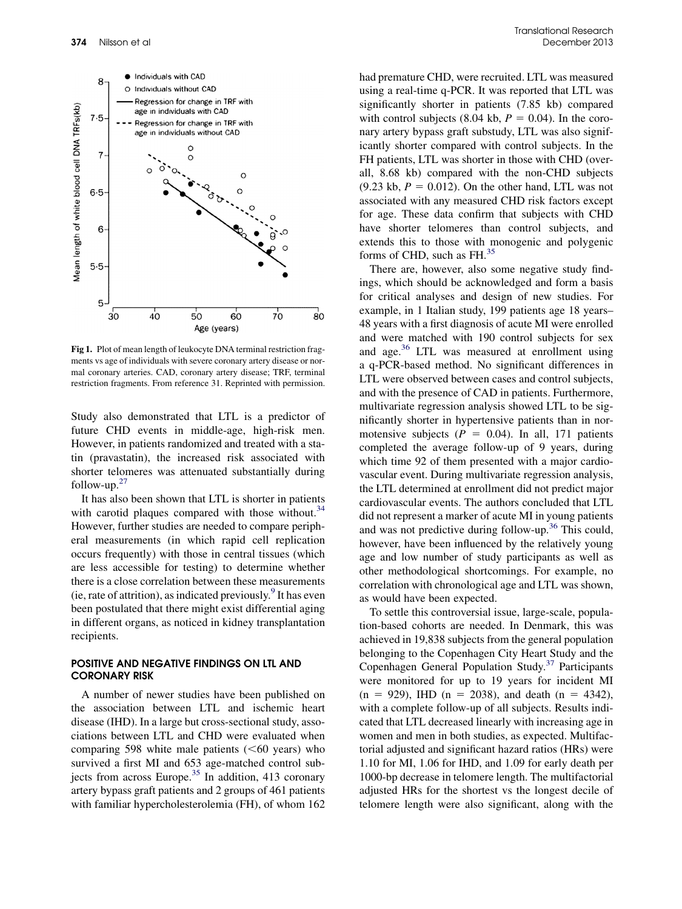<span id="page-3-0"></span>

Fig 1. Plot of mean length of leukocyte DNA terminal restriction fragments vs age of individuals with severe coronary artery disease or normal coronary arteries. CAD, coronary artery disease; TRF, terminal restriction fragments. From reference 31. Reprinted with permission.

Study also demonstrated that LTL is a predictor of future CHD events in middle-age, high-risk men. However, in patients randomized and treated with a statin (pravastatin), the increased risk associated with shorter telomeres was attenuated substantially during follow-up. $27$ 

It has also been shown that LTL is shorter in patients with carotid plaques compared with those without. $34$ However, further studies are needed to compare peripheral measurements (in which rapid cell replication occurs frequently) with those in central tissues (which are less accessible for testing) to determine whether there is a close correlation between these measurements (ie, rate of attrition), as indicated previously. It has even been postulated that there might exist differential aging in different organs, as noticed in kidney transplantation recipients.

#### POSITIVE AND NEGATIVE FINDINGS ON LTL AND CORONARY RISK

A number of newer studies have been published on the association between LTL and ischemic heart disease (IHD). In a large but cross-sectional study, associations between LTL and CHD were evaluated when comparing 598 white male patients  $( $60$  years) who$ survived a first MI and 653 age-matched control sub-jects from across Europe.<sup>[35](#page-9-0)</sup> In addition, 413 coronary artery bypass graft patients and 2 groups of 461 patients with familiar hypercholesterolemia (FH), of whom 162

had premature CHD, were recruited. LTL was measured using a real-time q-PCR. It was reported that LTL was significantly shorter in patients (7.85 kb) compared with control subjects (8.04 kb,  $P = 0.04$ ). In the coronary artery bypass graft substudy, LTL was also significantly shorter compared with control subjects. In the FH patients, LTL was shorter in those with CHD (overall, 8.68 kb) compared with the non-CHD subjects  $(9.23 \text{ kb}, P = 0.012)$ . On the other hand, LTL was not associated with any measured CHD risk factors except for age. These data confirm that subjects with CHD have shorter telomeres than control subjects, and extends this to those with monogenic and polygenic forms of CHD, such as FH.<sup>[35](#page-9-0)</sup>

There are, however, also some negative study findings, which should be acknowledged and form a basis for critical analyses and design of new studies. For example, in 1 Italian study, 199 patients age 18 years– 48 years with a first diagnosis of acute MI were enrolled and were matched with 190 control subjects for sex and age.[36](#page-9-0) LTL was measured at enrollment using a q-PCR-based method. No significant differences in LTL were observed between cases and control subjects, and with the presence of CAD in patients. Furthermore, multivariate regression analysis showed LTL to be significantly shorter in hypertensive patients than in normotensive subjects ( $P = 0.04$ ). In all, 171 patients completed the average follow-up of 9 years, during which time 92 of them presented with a major cardiovascular event. During multivariate regression analysis, the LTL determined at enrollment did not predict major cardiovascular events. The authors concluded that LTL did not represent a marker of acute MI in young patients and was not predictive during follow-up.[36](#page-9-0) This could, however, have been influenced by the relatively young age and low number of study participants as well as other methodological shortcomings. For example, no correlation with chronological age and LTL was shown, as would have been expected.

To settle this controversial issue, large-scale, population-based cohorts are needed. In Denmark, this was achieved in 19,838 subjects from the general population belonging to the Copenhagen City Heart Study and the Copenhagen General Population Study.<sup>[37](#page-9-0)</sup> Participants were monitored for up to 19 years for incident MI  $(n = 929)$ , IHD  $(n = 2038)$ , and death  $(n = 4342)$ , with a complete follow-up of all subjects. Results indicated that LTL decreased linearly with increasing age in women and men in both studies, as expected. Multifactorial adjusted and significant hazard ratios (HRs) were 1.10 for MI, 1.06 for IHD, and 1.09 for early death per 1000-bp decrease in telomere length. The multifactorial adjusted HRs for the shortest vs the longest decile of telomere length were also significant, along with the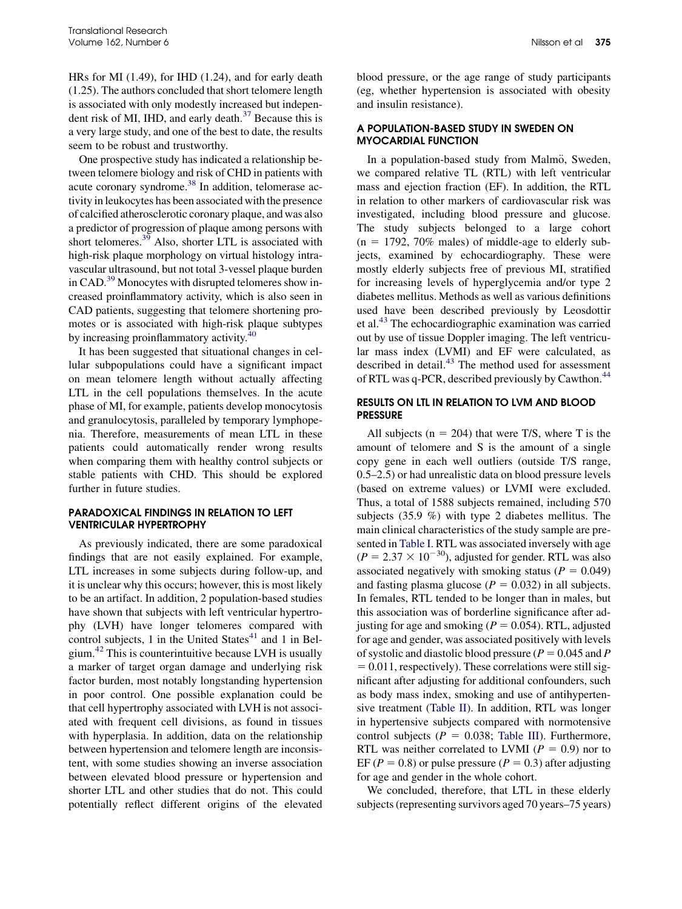HRs for MI (1.49), for IHD (1.24), and for early death (1.25). The authors concluded that short telomere length is associated with only modestly increased but independent risk of MI, IHD, and early death. $37$  Because this is a very large study, and one of the best to date, the results seem to be robust and trustworthy.

One prospective study has indicated a relationship between telomere biology and risk of CHD in patients with acute coronary syndrome[.38](#page-9-0) In addition, telomerase activity in leukocytes has been associated with the presence of calcified atherosclerotic coronary plaque, and was also a predictor of progression of plaque among persons with short telomeres.<sup>[39](#page-9-0)</sup> Also, shorter LTL is associated with high-risk plaque morphology on virtual histology intravascular ultrasound, but not total 3-vessel plaque burden in CAD.<sup>[39](#page-9-0)</sup> Monocytes with disrupted telomeres show increased proinflammatory activity, which is also seen in CAD patients, suggesting that telomere shortening promotes or is associated with high-risk plaque subtypes by increasing proinflammatory activity.<sup>[40](#page-9-0)</sup>

It has been suggested that situational changes in cellular subpopulations could have a significant impact on mean telomere length without actually affecting LTL in the cell populations themselves. In the acute phase of MI, for example, patients develop monocytosis and granulocytosis, paralleled by temporary lymphopenia. Therefore, measurements of mean LTL in these patients could automatically render wrong results when comparing them with healthy control subjects or stable patients with CHD. This should be explored further in future studies.

# PARADOXICAL FINDINGS IN RELATION TO LEFT VENTRICULAR HYPERTROPHY

As previously indicated, there are some paradoxical findings that are not easily explained. For example, LTL increases in some subjects during follow-up, and it is unclear why this occurs; however, this is most likely to be an artifact. In addition, 2 population-based studies have shown that subjects with left ventricular hypertrophy (LVH) have longer telomeres compared with control subjects, 1 in the United States $41$  and 1 in Belgium.[42](#page-9-0) This is counterintuitive because LVH is usually a marker of target organ damage and underlying risk factor burden, most notably longstanding hypertension in poor control. One possible explanation could be that cell hypertrophy associated with LVH is not associated with frequent cell divisions, as found in tissues with hyperplasia. In addition, data on the relationship between hypertension and telomere length are inconsistent, with some studies showing an inverse association between elevated blood pressure or hypertension and shorter LTL and other studies that do not. This could potentially reflect different origins of the elevated blood pressure, or the age range of study participants (eg, whether hypertension is associated with obesity and insulin resistance).

## A POPULATION-BASED STUDY IN SWEDEN ON MYOCARDIAL FUNCTION

In a population-based study from Malmö, Sweden, we compared relative TL (RTL) with left ventricular mass and ejection fraction (EF). In addition, the RTL in relation to other markers of cardiovascular risk was investigated, including blood pressure and glucose. The study subjects belonged to a large cohort  $(n = 1792, 70\%$  males) of middle-age to elderly subjects, examined by echocardiography. These were mostly elderly subjects free of previous MI, stratified for increasing levels of hyperglycemia and/or type 2 diabetes mellitus. Methods as well as various definitions used have been described previously by Leosdottir et al.<sup>[43](#page-9-0)</sup> The echocardiographic examination was carried out by use of tissue Doppler imaging. The left ventricular mass index (LVMI) and EF were calculated, as described in detail.<sup>[43](#page-9-0)</sup> The method used for assessment of RTL was q-PCR, described previously by Cawthon.<sup>[44](#page-9-0)</sup>

# RESULTS ON LTL IN RELATION TO LVM AND BLOOD PRESSURE

All subjects ( $n = 204$ ) that were T/S, where T is the amount of telomere and S is the amount of a single copy gene in each well outliers (outside T/S range, 0.5–2.5) or had unrealistic data on blood pressure levels (based on extreme values) or LVMI were excluded. Thus, a total of 1588 subjects remained, including 570 subjects (35.9 %) with type 2 diabetes mellitus. The main clinical characteristics of the study sample are presented in [Table I](#page-5-0). RTL was associated inversely with age  $(P = 2.37 \times 10^{-30})$ , adjusted for gender. RTL was also associated negatively with smoking status ( $P = 0.049$ ) and fasting plasma glucose ( $P = 0.032$ ) in all subjects. In females, RTL tended to be longer than in males, but this association was of borderline significance after adjusting for age and smoking ( $P = 0.054$ ). RTL, adjusted for age and gender, was associated positively with levels of systolic and diastolic blood pressure ( $P = 0.045$  and P  $= 0.011$ , respectively). These correlations were still significant after adjusting for additional confounders, such as body mass index, smoking and use of antihypertensive treatment ([Table II\)](#page-6-0). In addition, RTL was longer in hypertensive subjects compared with normotensive control subjects ( $P = 0.038$ ; [Table III\)](#page-7-0). Furthermore, RTL was neither correlated to LVMI ( $P = 0.9$ ) nor to EF ( $P = 0.8$ ) or pulse pressure ( $P = 0.3$ ) after adjusting for age and gender in the whole cohort.

We concluded, therefore, that LTL in these elderly subjects (representing survivors aged 70 years–75 years)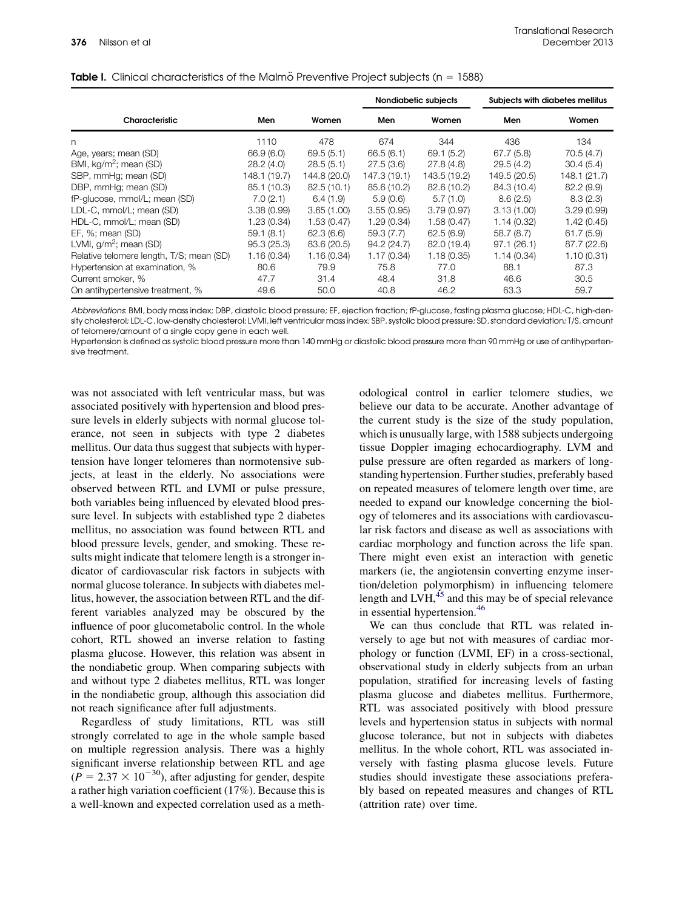|                                          |              |              | Nondiabetic subjects |              | Subjects with diabetes mellitus |              |
|------------------------------------------|--------------|--------------|----------------------|--------------|---------------------------------|--------------|
| Characteristic                           | Men          | Women        | Men                  | Women        | Men                             | Women        |
| n                                        | 1110         | 478          | 674                  | 344          | 436                             | 134          |
| Age, years; mean (SD)                    | 66.9 (6.0)   | 69.5(5.1)    | 66.5(6.1)            | 69.1(5.2)    | 67.7(5.8)                       | 70.5(4.7)    |
| BMI, kg/m <sup>2</sup> ; mean (SD)       | 28.2(4.0)    | 28.5(5.1)    | 27.5(3.6)            | 27.8(4.8)    | 29.5(4.2)                       | 30.4(5.4)    |
| SBP, mmHg; mean (SD)                     | 148.1 (19.7) | 144.8 (20.0) | 147.3 (19.1)         | 143.5 (19.2) | 149.5 (20.5)                    | 148.1 (21.7) |
| DBP, mmHg; mean (SD)                     | 85.1 (10.3)  | 82.5(10.1)   | 85.6 (10.2)          | 82.6 (10.2)  | 84.3 (10.4)                     | 82.2 (9.9)   |
| fP-glucose, mmol/L; mean (SD)            | 7.0(2.1)     | 6.4(1.9)     | 5.9(0.6)             | 5.7(1.0)     | 8.6(2.5)                        | 8.3(2.3)     |
| LDL-C, mmol/L; mean (SD)                 | 3.38(0.99)   | 3.65(1.00)   | 3.55(0.95)           | 3.79(0.97)   | 3.13(1.00)                      | 3.29(0.99)   |
| HDL-C, mmol/L; mean (SD)                 | 1.23(0.34)   | 1.53(0.47)   | 1.29(0.34)           | 1.58(0.47)   | 1.14(0.32)                      | 1.42(0.45)   |
| EF, %; mean (SD)                         | 59.1(8.1)    | 62.3(6.6)    | 59.3(7.7)            | 62.5(6.9)    | 58.7(8.7)                       | 61.7(5.9)    |
| LVMI, $g/m^2$ ; mean (SD)                | 95.3(25.3)   | 83.6 (20.5)  | 94.2(24.7)           | 82.0 (19.4)  | 97.1(26.1)                      | 87.7 (22.6)  |
| Relative telomere length, T/S; mean (SD) | 1.16(0.34)   | 1.16(0.34)   | 1.17(0.34)           | 1.18(0.35)   | 1.14(0.34)                      | 1.10(0.31)   |
| Hypertension at examination, %           | 80.6         | 79.9         | 75.8                 | 77.0         | 88.1                            | 87.3         |
| Current smoker, %                        | 47.7         | 31.4         | 48.4                 | 31.8         | 46.6                            | 30.5         |
| On antihypertensive treatment, %         | 49.6         | 50.0         | 40.8                 | 46.2         | 63.3                            | 59.7         |

# <span id="page-5-0"></span>Table I. Clinical characteristics of the Malmö Preventive Project subjects ( $n = 1588$ )

Abbreviations: BMI, body mass index; DBP, diastolic blood pressure; EF, ejection fraction; fP-glucose, fasting plasma glucose; HDL-C, high-density cholesterol; LDL-C, low-density cholesterol; LVMI, left ventricular mass index; SBP, systolic blood pressure; SD, standard deviation; T/S, amount of telomere/amount of a single copy gene in each well.

Hypertension is defined as systolic blood pressure more than 140 mmHg or diastolic blood pressure more than 90 mmHg or use of antihypertensive treatment.

was not associated with left ventricular mass, but was associated positively with hypertension and blood pressure levels in elderly subjects with normal glucose tolerance, not seen in subjects with type 2 diabetes mellitus. Our data thus suggest that subjects with hypertension have longer telomeres than normotensive subjects, at least in the elderly. No associations were observed between RTL and LVMI or pulse pressure, both variables being influenced by elevated blood pressure level. In subjects with established type 2 diabetes mellitus, no association was found between RTL and blood pressure levels, gender, and smoking. These results might indicate that telomere length is a stronger indicator of cardiovascular risk factors in subjects with normal glucose tolerance. In subjects with diabetes mellitus, however, the association between RTL and the different variables analyzed may be obscured by the influence of poor glucometabolic control. In the whole cohort, RTL showed an inverse relation to fasting plasma glucose. However, this relation was absent in the nondiabetic group. When comparing subjects with and without type 2 diabetes mellitus, RTL was longer in the nondiabetic group, although this association did not reach significance after full adjustments.

Regardless of study limitations, RTL was still strongly correlated to age in the whole sample based on multiple regression analysis. There was a highly significant inverse relationship between RTL and age  $(P = 2.37 \times 10^{-30})$ , after adjusting for gender, despite a rather high variation coefficient (17%). Because this is a well-known and expected correlation used as a methodological control in earlier telomere studies, we believe our data to be accurate. Another advantage of the current study is the size of the study population, which is unusually large, with 1588 subjects undergoing tissue Doppler imaging echocardiography. LVM and pulse pressure are often regarded as markers of longstanding hypertension. Further studies, preferably based on repeated measures of telomere length over time, are needed to expand our knowledge concerning the biology of telomeres and its associations with cardiovascular risk factors and disease as well as associations with cardiac morphology and function across the life span. There might even exist an interaction with genetic markers (ie, the angiotensin converting enzyme insertion/deletion polymorphism) in influencing telomere length and LVH, $45$  and this may be of special relevance in essential hypertension.<sup>[46](#page-9-0)</sup>

We can thus conclude that RTL was related inversely to age but not with measures of cardiac morphology or function (LVMI, EF) in a cross-sectional, observational study in elderly subjects from an urban population, stratified for increasing levels of fasting plasma glucose and diabetes mellitus. Furthermore, RTL was associated positively with blood pressure levels and hypertension status in subjects with normal glucose tolerance, but not in subjects with diabetes mellitus. In the whole cohort, RTL was associated inversely with fasting plasma glucose levels. Future studies should investigate these associations preferably based on repeated measures and changes of RTL (attrition rate) over time.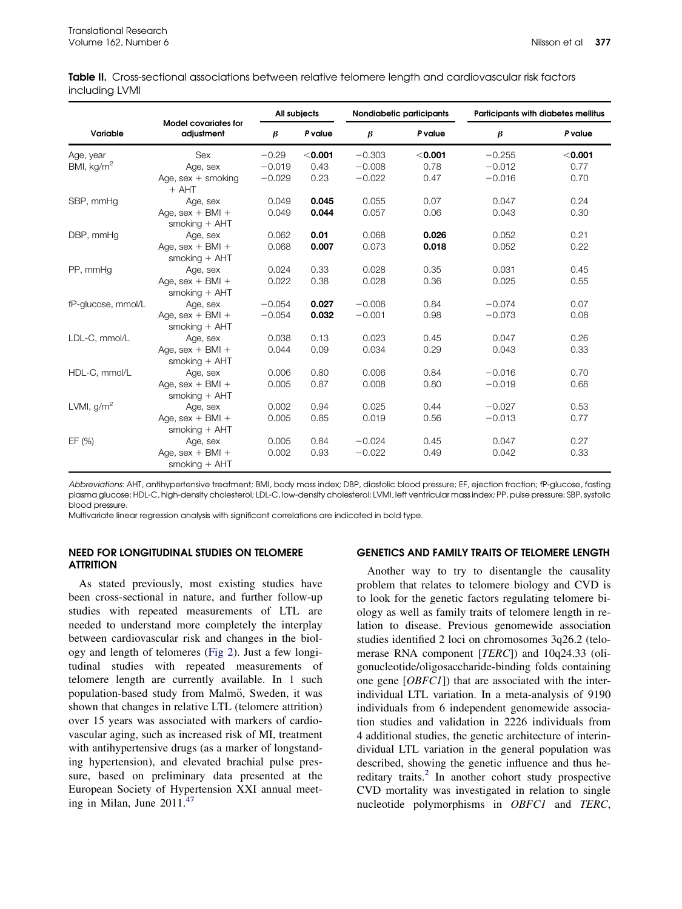<span id="page-6-0"></span>**Table II.** Cross-sectional associations between relative telomere length and cardiovascular risk factors including LVMI

| Variable           | <b>Model covariates for</b><br>adjustment | All subjects |           | Nondiabetic participants |           | Participants with diabetes mellitus |           |
|--------------------|-------------------------------------------|--------------|-----------|--------------------------|-----------|-------------------------------------|-----------|
|                    |                                           | β            | P value   | $\beta$                  | P value   | $\beta$                             | P value   |
| Age, year          | Sex                                       | $-0.29$      | $<$ 0.001 | $-0.303$                 | $<$ 0.001 | $-0.255$                            | $<$ 0.001 |
| BMI, $kg/m2$       | Age, sex                                  | $-0.019$     | 0.43      | $-0.008$                 | 0.78      | $-0.012$                            | 0.77      |
|                    | Age, $sex +$ smoking<br>$+$ AHT           | $-0.029$     | 0.23      | $-0.022$                 | 0.47      | $-0.016$                            | 0.70      |
| SBP, mmHq          | Age, sex                                  | 0.049        | 0.045     | 0.055                    | 0.07      | 0.047                               | 0.24      |
|                    | Age, $sex + BMI +$<br>smoking $+$ AHT     | 0.049        | 0.044     | 0.057                    | 0.06      | 0.043                               | 0.30      |
| DBP, mmHq          | Age, sex                                  | 0.062        | 0.01      | 0.068                    | 0.026     | 0.052                               | 0.21      |
|                    | Age, $sex + BMI +$<br>smoking $+$ AHT     | 0.068        | 0.007     | 0.073                    | 0.018     | 0.052                               | 0.22      |
| PP, mmHg           | Age, sex                                  | 0.024        | 0.33      | 0.028                    | 0.35      | 0.031                               | 0.45      |
|                    | Age, $sex + BMI +$<br>smoking $+$ AHT     | 0.022        | 0.38      | 0.028                    | 0.36      | 0.025                               | 0.55      |
| fP-glucose, mmol/L | Age, sex                                  | $-0.054$     | 0.027     | $-0.006$                 | 0.84      | $-0.074$                            | 0.07      |
|                    | Age, $sex + BMI +$<br>smoking + AHT       | $-0.054$     | 0.032     | $-0.001$                 | 0.98      | $-0.073$                            | 0.08      |
| LDL-C, mmol/L      | Age, sex                                  | 0.038        | 0.13      | 0.023                    | 0.45      | 0.047                               | 0.26      |
|                    | Age, $sex + BMI +$<br>smoking $+$ AHT     | 0.044        | 0.09      | 0.034                    | 0.29      | 0.043                               | 0.33      |
| HDL-C, mmol/L      | Age, sex                                  | 0.006        | 0.80      | 0.006                    | 0.84      | $-0.016$                            | 0.70      |
|                    | Age, $sex + BMI +$<br>smoking $+$ AHT     | 0.005        | 0.87      | 0.008                    | 0.80      | $-0.019$                            | 0.68      |
| LVMI, $g/m^2$      | Age, sex                                  | 0.002        | 0.94      | 0.025                    | 0.44      | $-0.027$                            | 0.53      |
|                    | Age, $sex + BMI +$<br>smoking $+$ AHT     | 0.005        | 0.85      | 0.019                    | 0.56      | $-0.013$                            | 0.77      |
| EF(%)              | Age, sex                                  | 0.005        | 0.84      | $-0.024$                 | 0.45      | 0.047                               | 0.27      |
|                    | Age, $sex + BMI +$<br>smoking $+$ AHT     | 0.002        | 0.93      | $-0.022$                 | 0.49      | 0.042                               | 0.33      |

Abbreviations: AHT, antihypertensive treatment; BMI, body mass index; DBP, diastolic blood pressure; EF, ejection fraction; fP-glucose, fasting plasma glucose; HDL-C, high-density cholesterol; LDL-C, low-density cholesterol; LVMI, left ventricular mass index; PP, pulse pressure; SBP, systolic blood pressure.

Multivariate linear regression analysis with significant correlations are indicated in bold type.

# NEED FOR LONGITUDINAL STUDIES ON TELOMERE **ATTRITION**

As stated previously, most existing studies have been cross-sectional in nature, and further follow-up studies with repeated measurements of LTL are needed to understand more completely the interplay between cardiovascular risk and changes in the biology and length of telomeres ([Fig 2](#page-8-0)). Just a few longitudinal studies with repeated measurements of telomere length are currently available. In 1 such population-based study from Malmö, Sweden, it was shown that changes in relative LTL (telomere attrition) over 15 years was associated with markers of cardiovascular aging, such as increased risk of MI, treatment with antihypertensive drugs (as a marker of longstanding hypertension), and elevated brachial pulse pressure, based on preliminary data presented at the European Society of Hypertension XXI annual meeting in Milan, June  $2011<sup>47</sup>$  $2011<sup>47</sup>$  $2011<sup>47</sup>$ 

#### GENETICS AND FAMILY TRAITS OF TELOMERE LENGTH

Another way to try to disentangle the causality problem that relates to telomere biology and CVD is to look for the genetic factors regulating telomere biology as well as family traits of telomere length in relation to disease. Previous genomewide association studies identified 2 loci on chromosomes 3q26.2 (telomerase RNA component [TERC]) and 10q24.33 (oligonucleotide/oligosaccharide-binding folds containing one gene  $[OBFCI]$ ) that are associated with the interindividual LTL variation. In a meta-analysis of 9190 individuals from 6 independent genomewide association studies and validation in 2226 individuals from 4 additional studies, the genetic architecture of interindividual LTL variation in the general population was described, showing the genetic influence and thus he-reditary traits.<sup>[2](#page-8-0)</sup> In another cohort study prospective CVD mortality was investigated in relation to single nucleotide polymorphisms in *OBFC1* and *TERC*,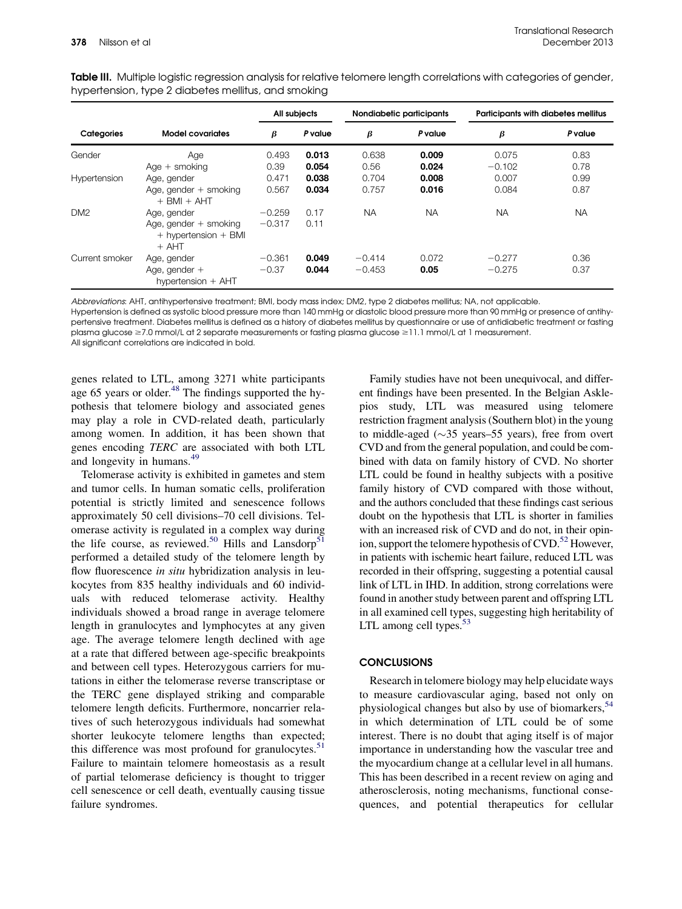<span id="page-7-0"></span>Table III. Multiple logistic regression analysis for relative telomere length correlations with categories of gender, hypertension, type 2 diabetes mellitus, and smoking

| Categories      | <b>Model covariates</b>                                        | All subjects |         | Nondiabetic participants |           | Participants with diabetes mellitus |           |
|-----------------|----------------------------------------------------------------|--------------|---------|--------------------------|-----------|-------------------------------------|-----------|
|                 |                                                                | $\beta$      | P value | β                        | P value   | β                                   | P value   |
| Gender          | Age                                                            | 0.493        | 0.013   | 0.638                    | 0.009     | 0.075                               | 0.83      |
|                 | $Aqe + smoking$                                                | 0.39         | 0.054   | 0.56                     | 0.024     | $-0.102$                            | 0.78      |
| Hypertension    | Age, gender                                                    | 0.471        | 0.038   | 0.704                    | 0.008     | 0.007                               | 0.99      |
|                 | Age, gender $+$ smoking<br>$+$ BMI $+$ AHT                     | 0.567        | 0.034   | 0.757                    | 0.016     | 0.084                               | 0.87      |
| DM <sub>2</sub> | Age, gender                                                    | $-0.259$     | 0.17    | <b>NA</b>                | <b>NA</b> | <b>NA</b>                           | <b>NA</b> |
|                 | Age, gender $+$ smoking<br>$+$ hypertension $+$ BMI<br>$+$ AHT | $-0.317$     | 0.11    |                          |           |                                     |           |
| Current smoker  | Age, gender                                                    | $-0.361$     | 0.049   | $-0.414$                 | 0.072     | $-0.277$                            | 0.36      |
|                 | Age, gender $+$<br>hypertension $+$ AHT                        | $-0.37$      | 0.044   | $-0.453$                 | 0.05      | $-0.275$                            | 0.37      |

Abbreviations: AHT, antihypertensive treatment; BMI, body mass index; DM2, type 2 diabetes mellitus; NA, not applicable.

Hypertension is defined as systolic blood pressure more than 140 mmHg or diastolic blood pressure more than 90 mmHg or presence of antihypertensive treatment. Diabetes mellitus is defined as a history of diabetes mellitus by questionnaire or use of antidiabetic treatment or fasting plasma glucose  $\geq$ 7.0 mmol/L at 2 separate measurements or fasting plasma glucose  $\geq$ 11.1 mmol/L at 1 measurement. All significant correlations are indicated in bold.

genes related to LTL, among 3271 white participants age 65 years or older. $48$  The findings supported the hypothesis that telomere biology and associated genes may play a role in CVD-related death, particularly among women. In addition, it has been shown that genes encoding TERC are associated with both LTL and longevity in humans.<sup>[49](#page-9-0)</sup>

Telomerase activity is exhibited in gametes and stem and tumor cells. In human somatic cells, proliferation potential is strictly limited and senescence follows approximately 50 cell divisions–70 cell divisions. Telomerase activity is regulated in a complex way during the life course, as reviewed.<sup>[50](#page-9-0)</sup> Hills and Lansdorp<sup>[51](#page-9-0)</sup> performed a detailed study of the telomere length by flow fluorescence *in situ* hybridization analysis in leukocytes from 835 healthy individuals and 60 individuals with reduced telomerase activity. Healthy individuals showed a broad range in average telomere length in granulocytes and lymphocytes at any given age. The average telomere length declined with age at a rate that differed between age-specific breakpoints and between cell types. Heterozygous carriers for mutations in either the telomerase reverse transcriptase or the TERC gene displayed striking and comparable telomere length deficits. Furthermore, noncarrier relatives of such heterozygous individuals had somewhat shorter leukocyte telomere lengths than expected; this difference was most profound for granulocytes. $51$ Failure to maintain telomere homeostasis as a result of partial telomerase deficiency is thought to trigger cell senescence or cell death, eventually causing tissue failure syndromes.

Family studies have not been unequivocal, and different findings have been presented. In the Belgian Asklepios study, LTL was measured using telomere restriction fragment analysis (Southern blot) in the young to middle-aged  $(\sim 35 \text{ years} - 55 \text{ years})$ , free from overt CVD and from the general population, and could be combined with data on family history of CVD. No shorter LTL could be found in healthy subjects with a positive family history of CVD compared with those without, and the authors concluded that these findings cast serious doubt on the hypothesis that LTL is shorter in families with an increased risk of CVD and do not, in their opinion, support the telomere hypothesis of  $CVD$ .<sup>[52](#page-9-0)</sup> However, in patients with ischemic heart failure, reduced LTL was recorded in their offspring, suggesting a potential causal link of LTL in IHD. In addition, strong correlations were found in another study between parent and offspring LTL in all examined cell types, suggesting high heritability of LTL among cell types. $53$ 

# **CONCLUSIONS**

Research in telomere biology may help elucidate ways to measure cardiovascular aging, based not only on physiological changes but also by use of biomarkers,<sup>[54](#page-9-0)</sup> in which determination of LTL could be of some interest. There is no doubt that aging itself is of major importance in understanding how the vascular tree and the myocardium change at a cellular level in all humans. This has been described in a recent review on aging and atherosclerosis, noting mechanisms, functional consequences, and potential therapeutics for cellular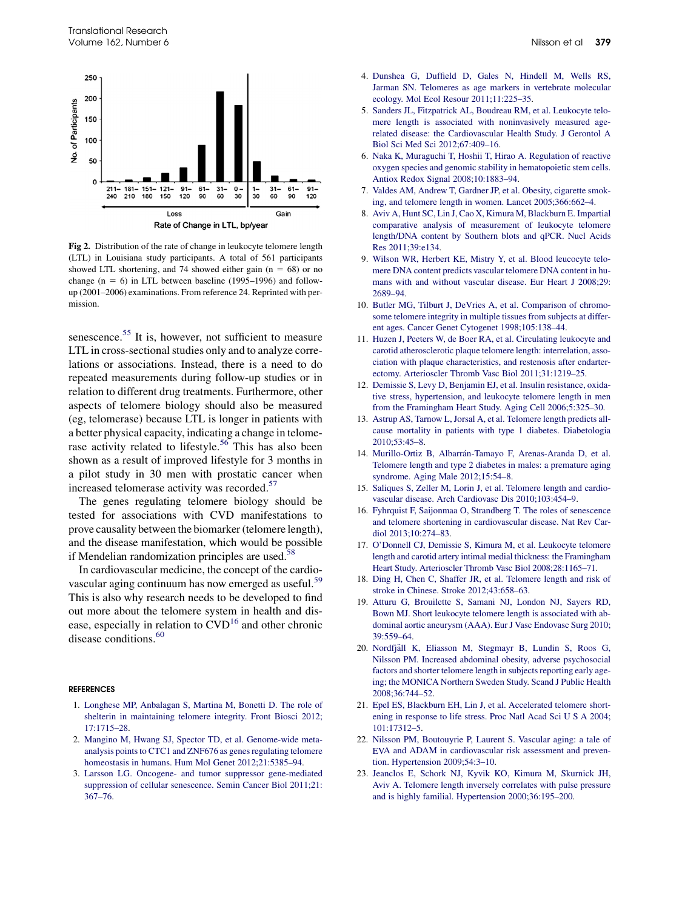<span id="page-8-0"></span>

Fig 2. Distribution of the rate of change in leukocyte telomere length (LTL) in Louisiana study participants. A total of 561 participants showed LTL shortening, and 74 showed either gain  $(n = 68)$  or no change  $(n = 6)$  in LTL between baseline (1995–1996) and followup (2001–2006) examinations. From reference 24. Reprinted with permission.

senescence.<sup>[55](#page-9-0)</sup> It is, however, not sufficient to measure LTL in cross-sectional studies only and to analyze correlations or associations. Instead, there is a need to do repeated measurements during follow-up studies or in relation to different drug treatments. Furthermore, other aspects of telomere biology should also be measured (eg, telomerase) because LTL is longer in patients with a better physical capacity, indicating a change in telome-rase activity related to lifestyle.<sup>[56](#page-9-0)</sup> This has also been shown as a result of improved lifestyle for 3 months in a pilot study in 30 men with prostatic cancer when increased telomerase activity was recorded.<sup>57</sup>

The genes regulating telomere biology should be tested for associations with CVD manifestations to prove causality between the biomarker (telomere length), and the disease manifestation, which would be possible if Mendelian randomization principles are used.<sup>[58](#page-9-0)</sup>

In cardiovascular medicine, the concept of the cardio-vascular aging continuum has now emerged as useful.<sup>[59](#page-9-0)</sup> This is also why research needs to be developed to find out more about the telomere system in health and disease, especially in relation to  $CVD<sup>16</sup>$  and other chronic disease conditions.<sup>[60](#page-9-0)</sup>

#### REFERENCES

- 1. [Longhese MP, Anbalagan S, Martina M, Bonetti D. The role of](http://refhub.elsevier.com/S1931-5244(13)00147-3/sref1) [shelterin in maintaining telomere integrity. Front Biosci 2012;](http://refhub.elsevier.com/S1931-5244(13)00147-3/sref1) [17:1715–28.](http://refhub.elsevier.com/S1931-5244(13)00147-3/sref1)
- 2. [Mangino M, Hwang SJ, Spector TD, et al. Genome-wide meta](http://refhub.elsevier.com/S1931-5244(13)00147-3/sref2)[analysis points to CTC1 and ZNF676 as genes regulating telomere](http://refhub.elsevier.com/S1931-5244(13)00147-3/sref2) [homeostasis in humans. Hum Mol Genet 2012;21:5385–94](http://refhub.elsevier.com/S1931-5244(13)00147-3/sref2).
- 3. [Larsson LG. Oncogene- and tumor suppressor gene-mediated](http://refhub.elsevier.com/S1931-5244(13)00147-3/sref3) [suppression of cellular senescence. Semin Cancer Biol 2011;21:](http://refhub.elsevier.com/S1931-5244(13)00147-3/sref3) [367–76](http://refhub.elsevier.com/S1931-5244(13)00147-3/sref3).
- 4. [Dunshea G, Duffield D, Gales N, Hindell M, Wells RS,](http://refhub.elsevier.com/S1931-5244(13)00147-3/sref4) [Jarman SN. Telomeres as age markers in vertebrate molecular](http://refhub.elsevier.com/S1931-5244(13)00147-3/sref4) [ecology. Mol Ecol Resour 2011;11:225–35.](http://refhub.elsevier.com/S1931-5244(13)00147-3/sref4)
- 5. [Sanders JL, Fitzpatrick AL, Boudreau RM, et al. Leukocyte telo](http://refhub.elsevier.com/S1931-5244(13)00147-3/sref5)[mere length is associated with noninvasively measured age](http://refhub.elsevier.com/S1931-5244(13)00147-3/sref5)[related disease: the Cardiovascular Health Study. J Gerontol A](http://refhub.elsevier.com/S1931-5244(13)00147-3/sref5) [Biol Sci Med Sci 2012;67:409–16](http://refhub.elsevier.com/S1931-5244(13)00147-3/sref5).
- 6. [Naka K, Muraguchi T, Hoshii T, Hirao A. Regulation of reactive](http://refhub.elsevier.com/S1931-5244(13)00147-3/sref6) [oxygen species and genomic stability in hematopoietic stem cells.](http://refhub.elsevier.com/S1931-5244(13)00147-3/sref6) [Antiox Redox Signal 2008;10:1883–94.](http://refhub.elsevier.com/S1931-5244(13)00147-3/sref6)
- 7. [Valdes AM, Andrew T, Gardner JP, et al. Obesity, cigarette smok](http://refhub.elsevier.com/S1931-5244(13)00147-3/sref7)[ing, and telomere length in women. Lancet 2005;366:662–4](http://refhub.elsevier.com/S1931-5244(13)00147-3/sref7).
- 8. [Aviv A, Hunt SC, Lin J, Cao X, Kimura M, Blackburn E. Impartial](http://refhub.elsevier.com/S1931-5244(13)00147-3/sref8) [comparative analysis of measurement of leukocyte telomere](http://refhub.elsevier.com/S1931-5244(13)00147-3/sref8) [length/DNA content by Southern blots and qPCR. Nucl Acids](http://refhub.elsevier.com/S1931-5244(13)00147-3/sref8) [Res 2011;39:e134.](http://refhub.elsevier.com/S1931-5244(13)00147-3/sref8)
- 9. [Wilson WR, Herbert KE, Mistry Y, et al. Blood leucocyte telo](http://refhub.elsevier.com/S1931-5244(13)00147-3/sref9)[mere DNA content predicts vascular telomere DNA content in hu](http://refhub.elsevier.com/S1931-5244(13)00147-3/sref9)[mans with and without vascular disease. Eur Heart J 2008;29:](http://refhub.elsevier.com/S1931-5244(13)00147-3/sref9) [2689–94](http://refhub.elsevier.com/S1931-5244(13)00147-3/sref9).
- 10. [Butler MG, Tilburt J, DeVries A, et al. Comparison of chromo](http://refhub.elsevier.com/S1931-5244(13)00147-3/sref10)[some telomere integrity in multiple tissues from subjects at differ](http://refhub.elsevier.com/S1931-5244(13)00147-3/sref10)[ent ages. Cancer Genet Cytogenet 1998;105:138–44](http://refhub.elsevier.com/S1931-5244(13)00147-3/sref10).
- 11. [Huzen J, Peeters W, de Boer RA, et al. Circulating leukocyte and](http://refhub.elsevier.com/S1931-5244(13)00147-3/sref11) [carotid atherosclerotic plaque telomere length: interrelation, asso](http://refhub.elsevier.com/S1931-5244(13)00147-3/sref11)[ciation with plaque characteristics, and restenosis after endarter](http://refhub.elsevier.com/S1931-5244(13)00147-3/sref11)[ectomy. Arterioscler Thromb Vasc Biol 2011;31:1219–25](http://refhub.elsevier.com/S1931-5244(13)00147-3/sref11).
- 12. [Demissie S, Levy D, Benjamin EJ, et al. Insulin resistance, oxida](http://refhub.elsevier.com/S1931-5244(13)00147-3/sref12)[tive stress, hypertension, and leukocyte telomere length in men](http://refhub.elsevier.com/S1931-5244(13)00147-3/sref12) [from the Framingham Heart Study. Aging Cell 2006;5:325–30](http://refhub.elsevier.com/S1931-5244(13)00147-3/sref12).
- 13. [Astrup AS, Tarnow L, Jorsal A, et al. Telomere length predicts all](http://refhub.elsevier.com/S1931-5244(13)00147-3/sref13)[cause mortality in patients with type 1 diabetes. Diabetologia](http://refhub.elsevier.com/S1931-5244(13)00147-3/sref13) [2010;53:45–8.](http://refhub.elsevier.com/S1931-5244(13)00147-3/sref13)
- 14. [Murillo-Ortiz B, Albarr](http://refhub.elsevier.com/S1931-5244(13)00147-3/sref14)á[n-Tamayo F, Arenas-Aranda D, et al.](http://refhub.elsevier.com/S1931-5244(13)00147-3/sref14) [Telomere length and type 2 diabetes in males: a premature aging](http://refhub.elsevier.com/S1931-5244(13)00147-3/sref14) [syndrome. Aging Male 2012;15:54–8](http://refhub.elsevier.com/S1931-5244(13)00147-3/sref14).
- 15. [Saliques S, Zeller M, Lorin J, et al. Telomere length and cardio](http://refhub.elsevier.com/S1931-5244(13)00147-3/sref15)[vascular disease. Arch Cardiovasc Dis 2010;103:454–9.](http://refhub.elsevier.com/S1931-5244(13)00147-3/sref15)
- 16. [Fyhrquist F, Saijonmaa O, Strandberg T. The roles of senescence](http://refhub.elsevier.com/S1931-5244(13)00147-3/sref16) [and telomere shortening in cardiovascular disease. Nat Rev Car](http://refhub.elsevier.com/S1931-5244(13)00147-3/sref16)[diol 2013;10:274–83](http://refhub.elsevier.com/S1931-5244(13)00147-3/sref16).
- 17. [O'Donnell CJ, Demissie S, Kimura M, et al. Leukocyte telomere](http://refhub.elsevier.com/S1931-5244(13)00147-3/sref17) [length and carotid artery intimal medial thickness: the Framingham](http://refhub.elsevier.com/S1931-5244(13)00147-3/sref17) [Heart Study. Arterioscler Thromb Vasc Biol 2008;28:1165–71.](http://refhub.elsevier.com/S1931-5244(13)00147-3/sref17)
- 18. [Ding H, Chen C, Shaffer JR, et al. Telomere length and risk of](http://refhub.elsevier.com/S1931-5244(13)00147-3/sref18) [stroke in Chinese. Stroke 2012;43:658–63.](http://refhub.elsevier.com/S1931-5244(13)00147-3/sref18)
- 19. [Atturu G, Brouilette S, Samani NJ, London NJ, Sayers RD,](http://refhub.elsevier.com/S1931-5244(13)00147-3/sref19) [Bown MJ. Short leukocyte telomere length is associated with ab](http://refhub.elsevier.com/S1931-5244(13)00147-3/sref19)[dominal aortic aneurysm \(AAA\). Eur J Vasc Endovasc Surg 2010;](http://refhub.elsevier.com/S1931-5244(13)00147-3/sref19) [39:559–64.](http://refhub.elsevier.com/S1931-5244(13)00147-3/sref19)
- 20. [Nordfj](http://refhub.elsevier.com/S1931-5244(13)00147-3/sref20)äll K, Eliasson M, Stegmayr B, Lundin S, Roos G, [Nilsson PM. Increased abdominal obesity, adverse psychosocial](http://refhub.elsevier.com/S1931-5244(13)00147-3/sref20) [factors and shorter telomere length in subjects reporting early age](http://refhub.elsevier.com/S1931-5244(13)00147-3/sref20)[ing; the MONICA Northern Sweden Study. Scand J Public Health](http://refhub.elsevier.com/S1931-5244(13)00147-3/sref20) [2008;36:744–52.](http://refhub.elsevier.com/S1931-5244(13)00147-3/sref20)
- 21. [Epel ES, Blackburn EH, Lin J, et al. Accelerated telomere short](http://refhub.elsevier.com/S1931-5244(13)00147-3/sref21)[ening in response to life stress. Proc Natl Acad Sci U S A 2004;](http://refhub.elsevier.com/S1931-5244(13)00147-3/sref21) [101:17312–5.](http://refhub.elsevier.com/S1931-5244(13)00147-3/sref21)
- 22. [Nilsson PM, Boutouyrie P, Laurent S. Vascular aging: a tale of](http://refhub.elsevier.com/S1931-5244(13)00147-3/sref22) [EVA and ADAM in cardiovascular risk assessment and preven](http://refhub.elsevier.com/S1931-5244(13)00147-3/sref22)[tion. Hypertension 2009;54:3–10.](http://refhub.elsevier.com/S1931-5244(13)00147-3/sref22)
- 23. [Jeanclos E, Schork NJ, Kyvik KO, Kimura M, Skurnick JH,](http://refhub.elsevier.com/S1931-5244(13)00147-3/sref23) [Aviv A. Telomere length inversely correlates with pulse pressure](http://refhub.elsevier.com/S1931-5244(13)00147-3/sref23) [and is highly familial. Hypertension 2000;36:195–200.](http://refhub.elsevier.com/S1931-5244(13)00147-3/sref23)